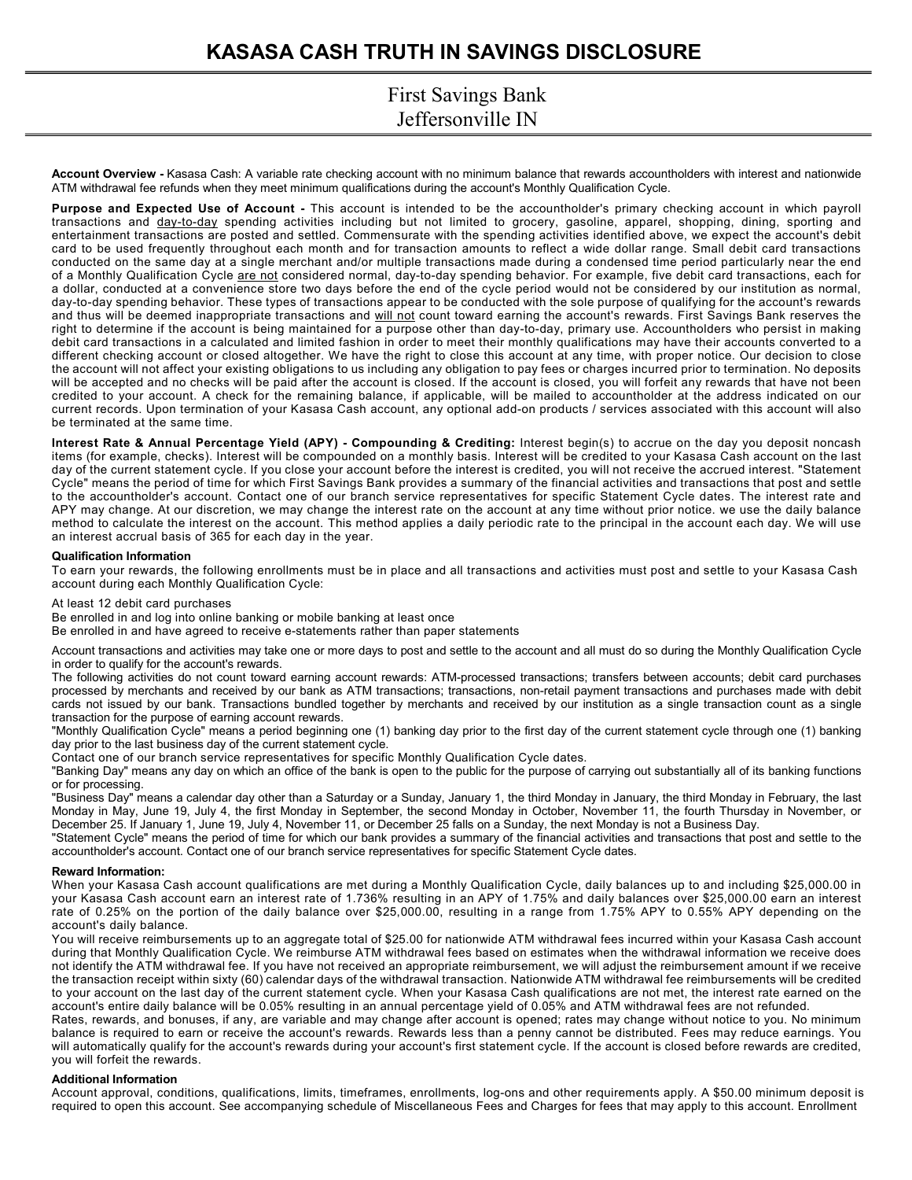# **KASASA CASH TRUTH IN SAVINGS DISCLOSURE**

## First Savings Bank Jeffersonville IN

**Account Overview -** Kasasa Cash: A variable rate checking account with no minimum balance that rewards accountholders with interest and nationwide ATM withdrawal fee refunds when they meet minimum qualifications during the account's Monthly Qualification Cycle.

**Purpose and Expected Use of Account -** This account is intended to be the accountholder's primary checking account in which payroll transactions and day-to-day spending activities including but not limited to grocery, gasoline, apparel, shopping, dining, sporting and entertainment transactions are posted and settled. Commensurate with the spending activities identified above, we expect the account's debit card to be used frequently throughout each month and for transaction amounts to reflect a wide dollar range. Small debit card transactions conducted on the same day at a single merchant and/or multiple transactions made during a condensed time period particularly near the end of a Monthly Qualification Cycle are not considered normal, day-to-day spending behavior. For example, five debit card transactions, each for a dollar, conducted at a convenience store two days before the end of the cycle period would not be considered by our institution as normal, day-to-day spending behavior. These types of transactions appear to be conducted with the sole purpose of qualifying for the account's rewards and thus will be deemed inappropriate transactions and will not count toward earning the account's rewards. First Savings Bank reserves the right to determine if the account is being maintained for a purpose other than day-to-day, primary use. Accountholders who persist in making debit card transactions in a calculated and limited fashion in order to meet their monthly qualifications may have their accounts converted to a different checking account or closed altogether. We have the right to close this account at any time, with proper notice. Our decision to close the account will not affect your existing obligations to us including any obligation to pay fees or charges incurred prior to termination. No deposits will be accepted and no checks will be paid after the account is closed. If the account is closed, you will forfeit any rewards that have not been credited to your account. A check for the remaining balance, if applicable, will be mailed to accountholder at the address indicated on our current records. Upon termination of your Kasasa Cash account, any optional add-on products / services associated with this account will also be terminated at the same time.

**Interest Rate & Annual Percentage Yield (APY) - Compounding & Crediting:** Interest begin(s) to accrue on the day you deposit noncash items (for example, checks). Interest will be compounded on a monthly basis. Interest will be credited to your Kasasa Cash account on the last day of the current statement cycle. If you close your account before the interest is credited, you will not receive the accrued interest. "Statement Cycle" means the period of time for which First Savings Bank provides a summary of the financial activities and transactions that post and settle to the accountholder's account. Contact one of our branch service representatives for specific Statement Cycle dates. The interest rate and APY may change. At our discretion, we may change the interest rate on the account at any time without prior notice. we use the daily balance method to calculate the interest on the account. This method applies a daily periodic rate to the principal in the account each day. We will use an interest accrual basis of 365 for each day in the year.

#### **Qualification Information**

To earn your rewards, the following enrollments must be in place and all transactions and activities must post and settle to your Kasasa Cash account during each Monthly Qualification Cycle:

At least 12 debit card purchases

Be enrolled in and log into online banking or mobile banking at least once

Be enrolled in and have agreed to receive e-statements rather than paper statements

Account transactions and activities may take one or more days to post and settle to the account and all must do so during the Monthly Qualification Cycle in order to qualify for the account's rewards.

The following activities do not count toward earning account rewards: ATM-processed transactions; transfers between accounts; debit card purchases processed by merchants and received by our bank as ATM transactions; transactions, non-retail payment transactions and purchases made with debit cards not issued by our bank. Transactions bundled together by merchants and received by our institution as a single transaction count as a single transaction for the purpose of earning account rewards.

"Monthly Qualification Cycle" means a period beginning one (1) banking day prior to the first day of the current statement cycle through one (1) banking day prior to the last business day of the current statement cycle.

Contact one of our branch service representatives for specific Monthly Qualification Cycle dates.

"Banking Day" means any day on which an office of the bank is open to the public for the purpose of carrying out substantially all of its banking functions or for processing.

"Business Day" means a calendar day other than a Saturday or a Sunday, January 1, the third Monday in January, the third Monday in February, the last Monday in May, June 19, July 4, the first Monday in September, the second Monday in October, November 11, the fourth Thursday in November, or December 25. If January 1, June 19, July 4, November 11, or December 25 falls on a Sunday, the next Monday is not a Business Day.

"Statement Cycle" means the period of time for which our bank provides a summary of the financial activities and transactions that post and settle to the accountholder's account. Contact one of our branch service representatives for specific Statement Cycle dates.

#### **Reward Information:**

When your Kasasa Cash account qualifications are met during a Monthly Qualification Cycle, daily balances up to and including \$25,000.00 in your Kasasa Cash account earn an interest rate of 1.736% resulting in an APY of 1.75% and daily balances over \$25,000.00 earn an interest rate of 0.25% on the portion of the daily balance over \$25,000.00, resulting in a range from 1.75% APY to 0.55% APY depending on the account's daily balance.

You will receive reimbursements up to an aggregate total of \$25.00 for nationwide ATM withdrawal fees incurred within your Kasasa Cash account during that Monthly Qualification Cycle. We reimburse ATM withdrawal fees based on estimates when the withdrawal information we receive does not identify the ATM withdrawal fee. If you have not received an appropriate reimbursement, we will adjust the reimbursement amount if we receive the transaction receipt within sixty (60) calendar days of the withdrawal transaction. Nationwide ATM withdrawal fee reimbursements will be credited to your account on the last day of the current statement cycle. When your Kasasa Cash qualifications are not met, the interest rate earned on the account's entire daily balance will be 0.05% resulting in an annual percentage yield of 0.05% and ATM withdrawal fees are not refunded.

Rates, rewards, and bonuses, if any, are variable and may change after account is opened; rates may change without notice to you. No minimum balance is required to earn or receive the account's rewards. Rewards less than a penny cannot be distributed. Fees may reduce earnings. You will automatically qualify for the account's rewards during your account's first statement cycle. If the account is closed before rewards are credited, you will forfeit the rewards.

#### **Additional Information**

Account approval, conditions, qualifications, limits, timeframes, enrollments, log-ons and other requirements apply. A \$50.00 minimum deposit is required to open this account. See accompanying schedule of Miscellaneous Fees and Charges for fees that may apply to this account. Enrollment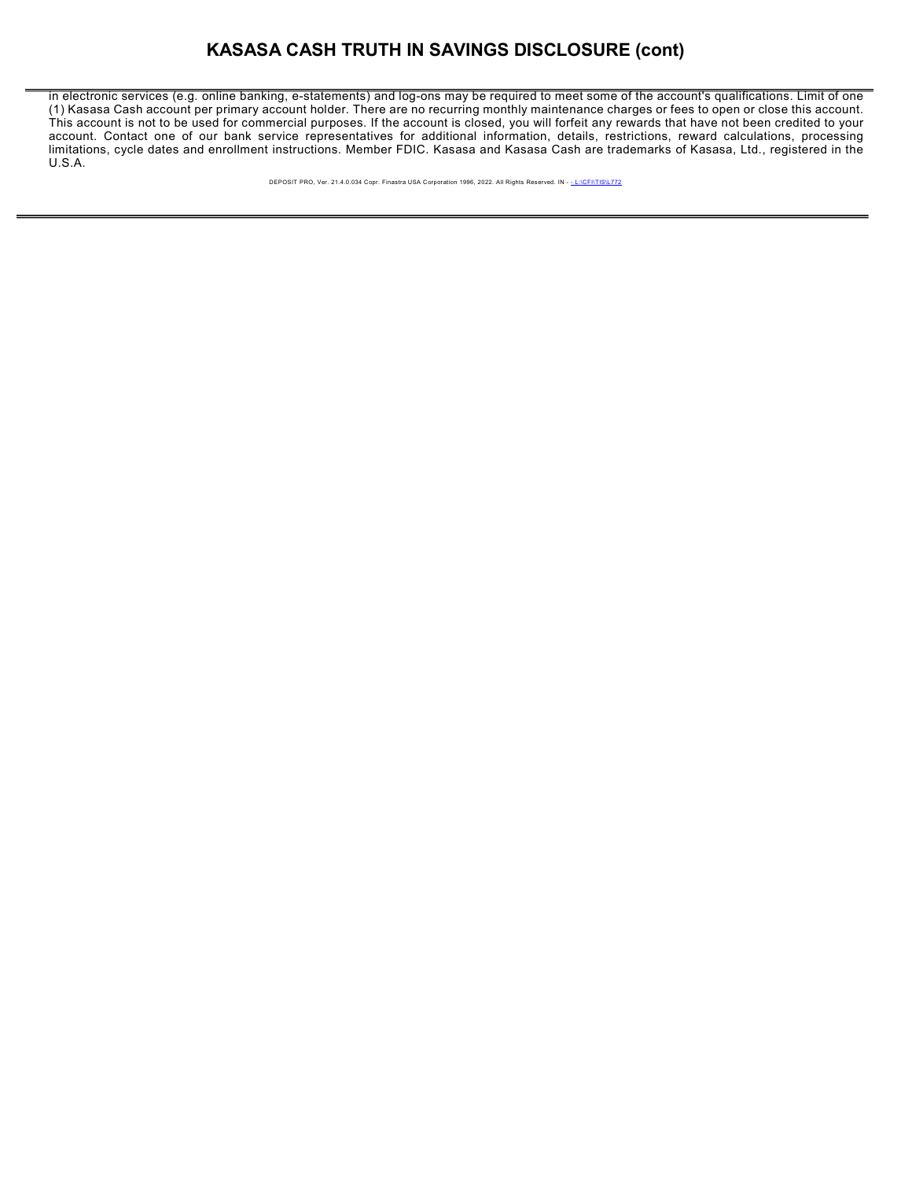### **KASASA CASH TRUTH IN SAVINGS DISCLOSURE (cont)**

in electronic services (e.g. online banking, e-statements) and log-ons may be required to meet some of the account's qualifications. Limit of one (1) Kasasa Cash account per primary account holder. There are no recurring monthly maintenance charges or fees to open or close this account. This account is not to be used for commercial purposes. If the account is closed, you will forfeit any rewards that have not been credited to your account. Contact one of our bank service representatives for additional information, details, restrictions, reward calculations, processing limitations, cycle dates and enrollment instructions. Member FDIC. Kasasa and Kasasa Cash are trademarks of Kasasa, Ltd., registered in the U.S.A.

DEPOSIT PRO, Ver. 21.4.0.034 Copr. Finastra USA Corporation 1996, 2022. All Rights Reserved. IN - - L:\CFI\TIS\L772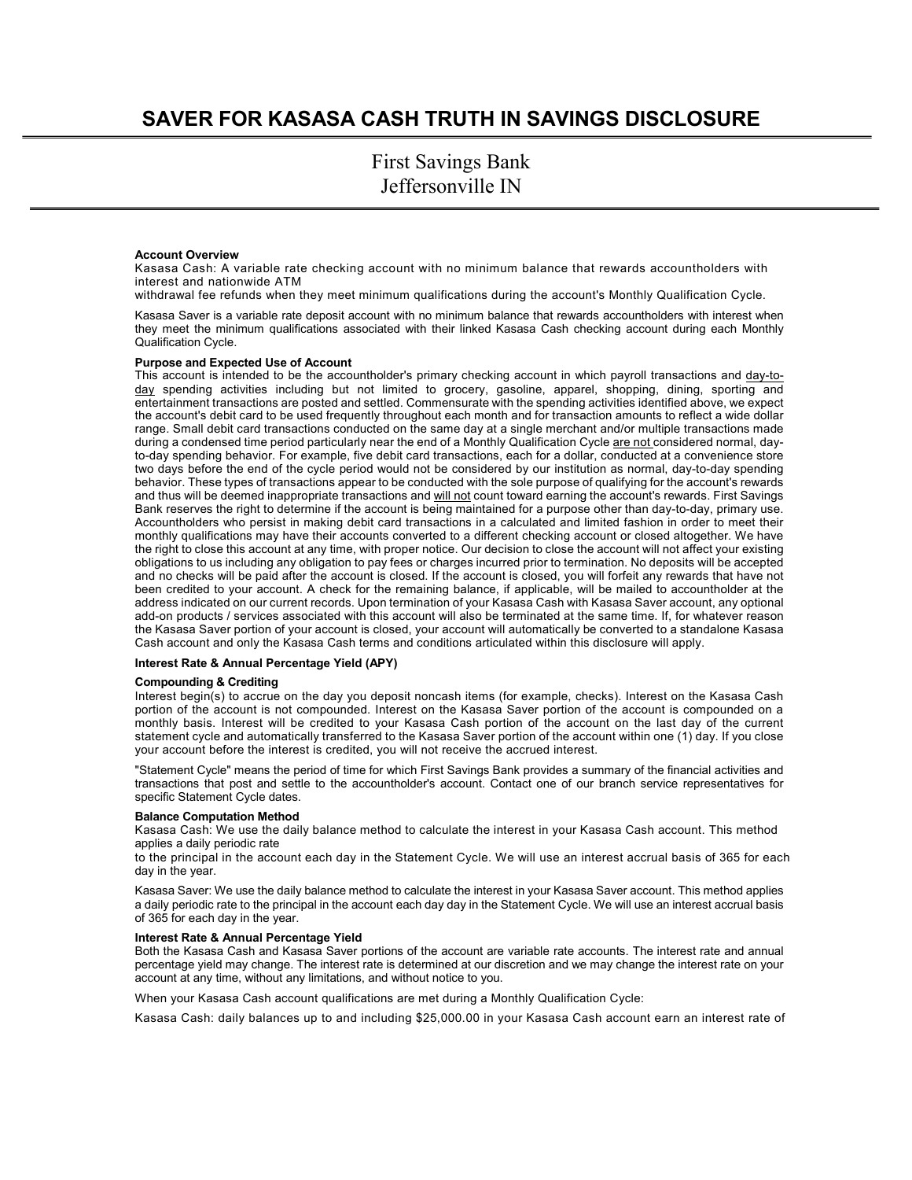## **SAVER FOR KASASA CASH TRUTH IN SAVINGS DISCLOSURE**

First Savings Bank Jeffersonville IN

#### **Account Overview**

Kasasa Cash: A variable rate checking account with no minimum balance that rewards accountholders with interest and nationwide ATM

withdrawal fee refunds when they meet minimum qualifications during the account's Monthly Qualification Cycle.

Kasasa Saver is a variable rate deposit account with no minimum balance that rewards accountholders with interest when they meet the minimum qualifications associated with their linked Kasasa Cash checking account during each Monthly Qualification Cycle.

#### **Purpose and Expected Use of Account**

This account is intended to be the accountholder's primary checking account in which payroll transactions and day-today spending activities including but not limited to grocery, gasoline, apparel, shopping, dining, sporting and entertainment transactions are posted and settled. Commensurate with the spending activities identified above, we expect the account's debit card to be used frequently throughout each month and for transaction amounts to reflect a wide dollar range. Small debit card transactions conducted on the same day at a single merchant and/or multiple transactions made during a condensed time period particularly near the end of a Monthly Qualification Cycle are not considered normal, dayto-day spending behavior. For example, five debit card transactions, each for a dollar, conducted at a convenience store two days before the end of the cycle period would not be considered by our institution as normal, day-to-day spending behavior. These types of transactions appear to be conducted with the sole purpose of qualifying for the account's rewards and thus will be deemed inappropriate transactions and will not count toward earning the account's rewards. First Savings Bank reserves the right to determine if the account is being maintained for a purpose other than day-to-day, primary use. Accountholders who persist in making debit card transactions in a calculated and limited fashion in order to meet their monthly qualifications may have their accounts converted to a different checking account or closed altogether. We have the right to close this account at any time, with proper notice. Our decision to close the account will not affect your existing obligations to us including any obligation to pay fees or charges incurred prior to termination. No deposits will be accepted and no checks will be paid after the account is closed. If the account is closed, you will forfeit any rewards that have not been credited to your account. A check for the remaining balance, if applicable, will be mailed to accountholder at the address indicated on our current records. Upon termination of your Kasasa Cash with Kasasa Saver account, any optional add-on products / services associated with this account will also be terminated at the same time. If, for whatever reason the Kasasa Saver portion of your account is closed, your account will automatically be converted to a standalone Kasasa Cash account and only the Kasasa Cash terms and conditions articulated within this disclosure will apply.

#### **Interest Rate & Annual Percentage Yield (APY)**

#### **Compounding & Crediting**

Interest begin(s) to accrue on the day you deposit noncash items (for example, checks). Interest on the Kasasa Cash portion of the account is not compounded. Interest on the Kasasa Saver portion of the account is compounded on a monthly basis. Interest will be credited to your Kasasa Cash portion of the account on the last day of the current statement cycle and automatically transferred to the Kasasa Saver portion of the account within one (1) day. If you close your account before the interest is credited, you will not receive the accrued interest.

"Statement Cycle" means the period of time for which First Savings Bank provides a summary of the financial activities and transactions that post and settle to the accountholder's account. Contact one of our branch service representatives for specific Statement Cycle dates.

#### **Balance Computation Method**

Kasasa Cash: We use the daily balance method to calculate the interest in your Kasasa Cash account. This method applies a daily periodic rate

to the principal in the account each day in the Statement Cycle. We will use an interest accrual basis of 365 for each day in the year.

Kasasa Saver: We use the daily balance method to calculate the interest in your Kasasa Saver account. This method applies a daily periodic rate to the principal in the account each day day in the Statement Cycle. We will use an interest accrual basis of 365 for each day in the year.

#### **Interest Rate & Annual Percentage Yield**

Both the Kasasa Cash and Kasasa Saver portions of the account are variable rate accounts. The interest rate and annual percentage yield may change. The interest rate is determined at our discretion and we may change the interest rate on your account at any time, without any limitations, and without notice to you.

When your Kasasa Cash account qualifications are met during a Monthly Qualification Cycle:

Kasasa Cash: daily balances up to and including \$25,000.00 in your Kasasa Cash account earn an interest rate of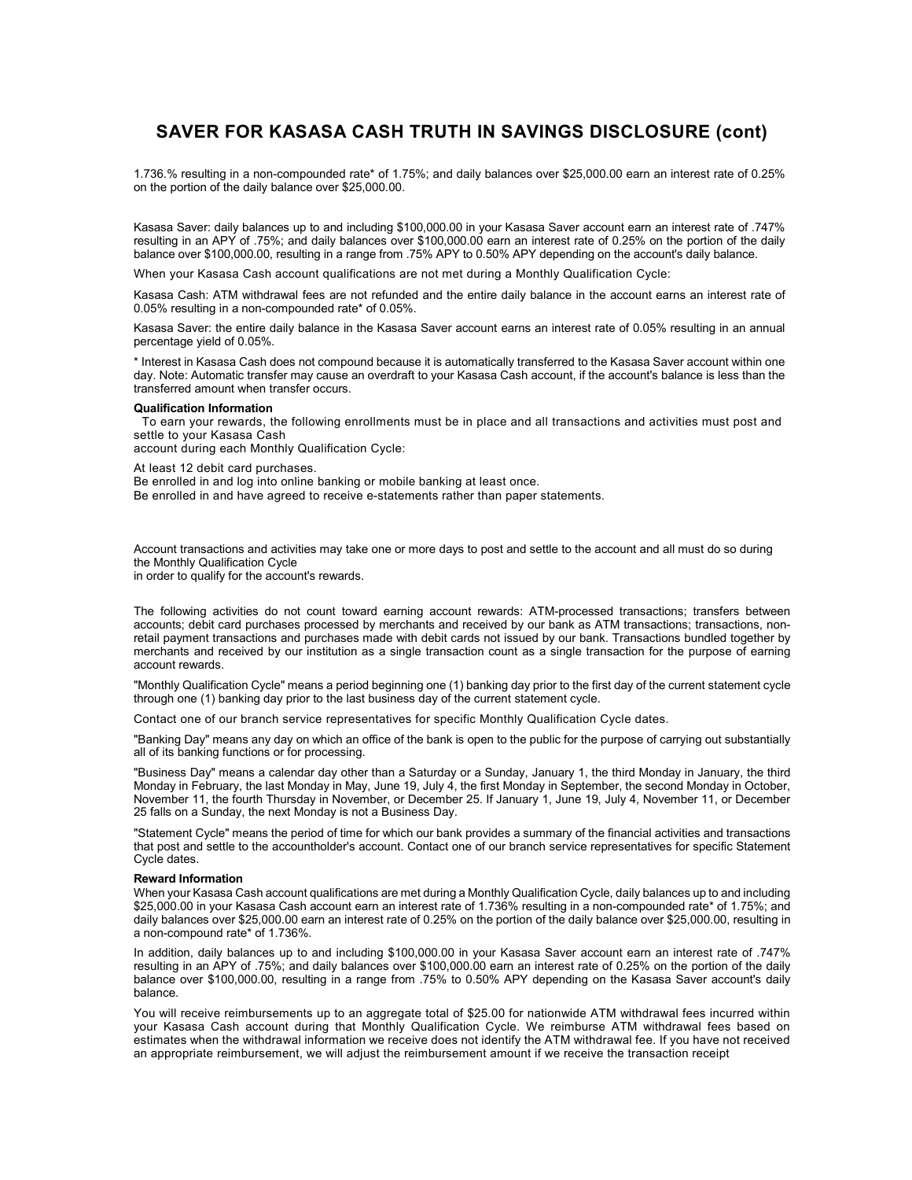### **SAVER FOR KASASA CASH TRUTH IN SAVINGS DISCLOSURE (cont)**

1.736.% resulting in a non-compounded rate\* of 1.75%; and daily balances over \$25,000.00 earn an interest rate of 0.25% on the portion of the daily balance over \$25,000.00.

Kasasa Saver: daily balances up to and including \$100,000.00 in your Kasasa Saver account earn an interest rate of .747% resulting in an APY of .75%; and daily balances over \$100,000.00 earn an interest rate of 0.25% on the portion of the daily balance over \$100,000.00, resulting in a range from .75% APY to 0.50% APY depending on the account's daily balance.

When your Kasasa Cash account qualifications are not met during a Monthly Qualification Cycle:

Kasasa Cash: ATM withdrawal fees are not refunded and the entire daily balance in the account earns an interest rate of 0.05% resulting in a non-compounded rate\* of 0.05%.

Kasasa Saver: the entire daily balance in the Kasasa Saver account earns an interest rate of 0.05% resulting in an annual percentage yield of 0.05%.

\* Interest in Kasasa Cash does not compound because it is automatically transferred to the Kasasa Saver account within one day. Note: Automatic transfer may cause an overdraft to your Kasasa Cash account, if the account's balance is less than the transferred amount when transfer occurs.

#### **Qualification Information**

To earn your rewards, the following enrollments must be in place and all transactions and activities must post and settle to your Kasasa Cash

account during each Monthly Qualification Cycle:

At least 12 debit card purchases.

Be enrolled in and log into online banking or mobile banking at least once.

Be enrolled in and have agreed to receive e-statements rather than paper statements.

Account transactions and activities may take one or more days to post and settle to the account and all must do so during the Monthly Qualification Cycle

in order to qualify for the account's rewards.

The following activities do not count toward earning account rewards: ATM-processed transactions; transfers between accounts; debit card purchases processed by merchants and received by our bank as ATM transactions; transactions, nonretail payment transactions and purchases made with debit cards not issued by our bank. Transactions bundled together by merchants and received by our institution as a single transaction count as a single transaction for the purpose of earning account rewards.

"Monthly Qualification Cycle" means a period beginning one (1) banking day prior to the first day of the current statement cycle through one (1) banking day prior to the last business day of the current statement cycle.

Contact one of our branch service representatives for specific Monthly Qualification Cycle dates.

"Banking Day" means any day on which an office of the bank is open to the public for the purpose of carrying out substantially all of its banking functions or for processing.

"Business Day" means a calendar day other than a Saturday or a Sunday, January 1, the third Monday in January, the third Monday in February, the last Monday in May, June 19, July 4, the first Monday in September, the second Monday in October, November 11, the fourth Thursday in November, or December 25. If January 1, June 19, July 4, November 11, or December 25 falls on a Sunday, the next Monday is not a Business Day.

"Statement Cycle" means the period of time for which our bank provides a summary of the financial activities and transactions that post and settle to the accountholder's account. Contact one of our branch service representatives for specific Statement Cycle dates.

#### **Reward Information**

When your Kasasa Cash account qualifications are met during a Monthly Qualification Cycle, daily balances up to and including \$25,000.00 in your Kasasa Cash account earn an interest rate of 1.736% resulting in a non-compounded rate\* of 1.75%; and daily balances over \$25,000.00 earn an interest rate of 0.25% on the portion of the daily balance over \$25,000.00, resulting in a non-compound rate\* of 1.736%.

In addition, daily balances up to and including \$100,000.00 in your Kasasa Saver account earn an interest rate of .747% resulting in an APY of .75%; and daily balances over \$100,000.00 earn an interest rate of 0.25% on the portion of the daily balance over \$100,000.00, resulting in a range from .75% to 0.50% APY depending on the Kasasa Saver account's daily balance.

You will receive reimbursements up to an aggregate total of \$25.00 for nationwide ATM withdrawal fees incurred within your Kasasa Cash account during that Monthly Qualification Cycle. We reimburse ATM withdrawal fees based on estimates when the withdrawal information we receive does not identify the ATM withdrawal fee. If you have not received an appropriate reimbursement, we will adjust the reimbursement amount if we receive the transaction receipt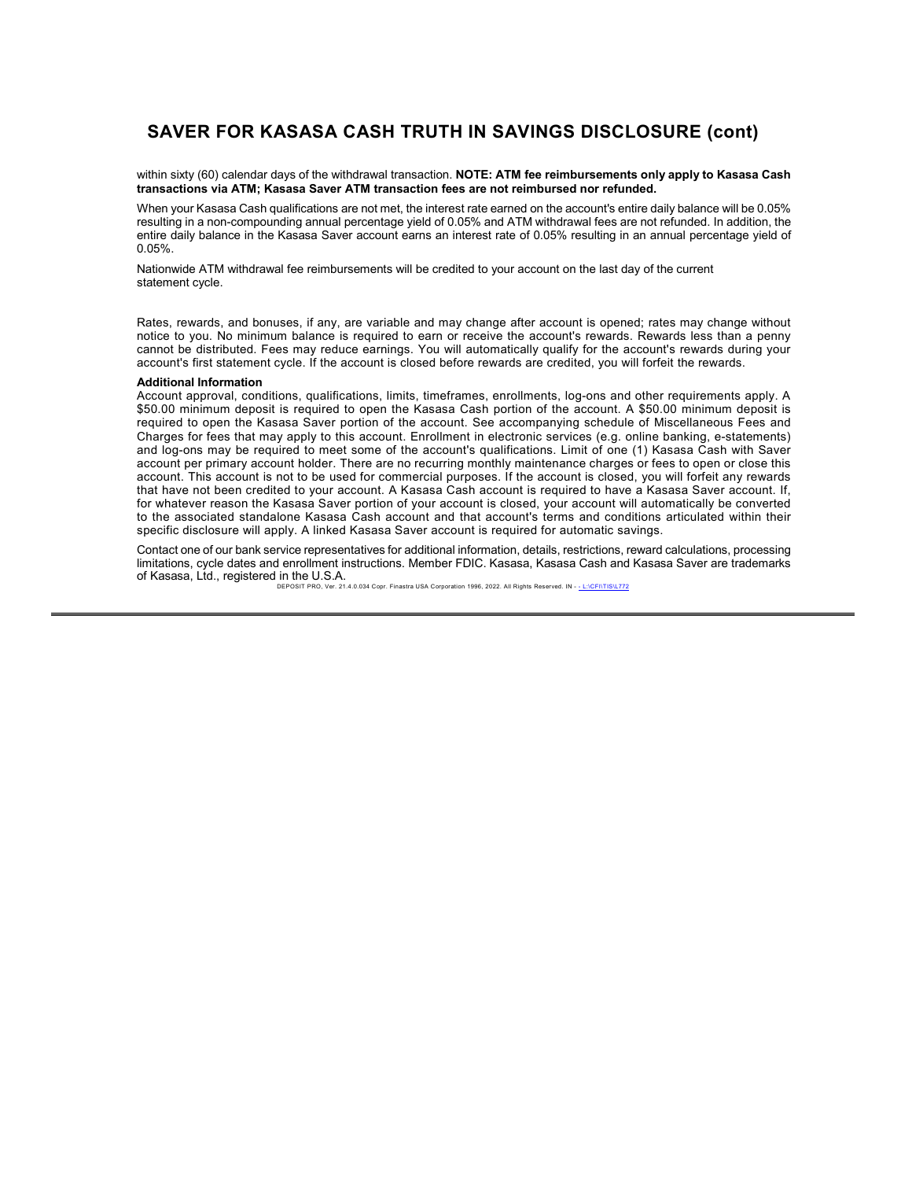### **SAVER FOR KASASA CASH TRUTH IN SAVINGS DISCLOSURE (cont)**

within sixty (60) calendar days of the withdrawal transaction. **NOTE: ATM fee reimbursements only apply to Kasasa Cash transactions via ATM; Kasasa Saver ATM transaction fees are not reimbursed nor refunded.**

When your Kasasa Cash qualifications are not met, the interest rate earned on the account's entire daily balance will be 0.05% resulting in a non-compounding annual percentage yield of 0.05% and ATM withdrawal fees are not refunded. In addition, the entire daily balance in the Kasasa Saver account earns an interest rate of 0.05% resulting in an annual percentage yield of 0.05%.

Nationwide ATM withdrawal fee reimbursements will be credited to your account on the last day of the current statement cycle.

Rates, rewards, and bonuses, if any, are variable and may change after account is opened; rates may change without notice to you. No minimum balance is required to earn or receive the account's rewards. Rewards less than a penny cannot be distributed. Fees may reduce earnings. You will automatically qualify for the account's rewards during your account's first statement cycle. If the account is closed before rewards are credited, you will forfeit the rewards.

#### **Additional Information**

Account approval, conditions, qualifications, limits, timeframes, enrollments, log-ons and other requirements apply. A \$50.00 minimum deposit is required to open the Kasasa Cash portion of the account. A \$50.00 minimum deposit is required to open the Kasasa Saver portion of the account. See accompanying schedule of Miscellaneous Fees and Charges for fees that may apply to this account. Enrollment in electronic services (e.g. online banking, e-statements) and log-ons may be required to meet some of the account's qualifications. Limit of one (1) Kasasa Cash with Saver account per primary account holder. There are no recurring monthly maintenance charges or fees to open or close this account. This account is not to be used for commercial purposes. If the account is closed, you will forfeit any rewards that have not been credited to your account. A Kasasa Cash account is required to have a Kasasa Saver account. If, for whatever reason the Kasasa Saver portion of your account is closed, your account will automatically be converted to the associated standalone Kasasa Cash account and that account's terms and conditions articulated within their specific disclosure will apply. A linked Kasasa Saver account is required for automatic savings.

Contact one of our bank service representatives for additional information, details, restrictions, reward calculations, processing limitations, cycle dates and enrollment instructions. Member FDIC. Kasasa, Kasasa Cash and Kasasa Saver are trademarks of Kasasa, Ltd., registered in the U.S.A.

US. 1.<br>Ver. 21.4.0.034 Copr. Finastra USA Corporation 1996, 2022. All Rights Reserved. IN - <u>- L:\CFI\TIS\L772</u>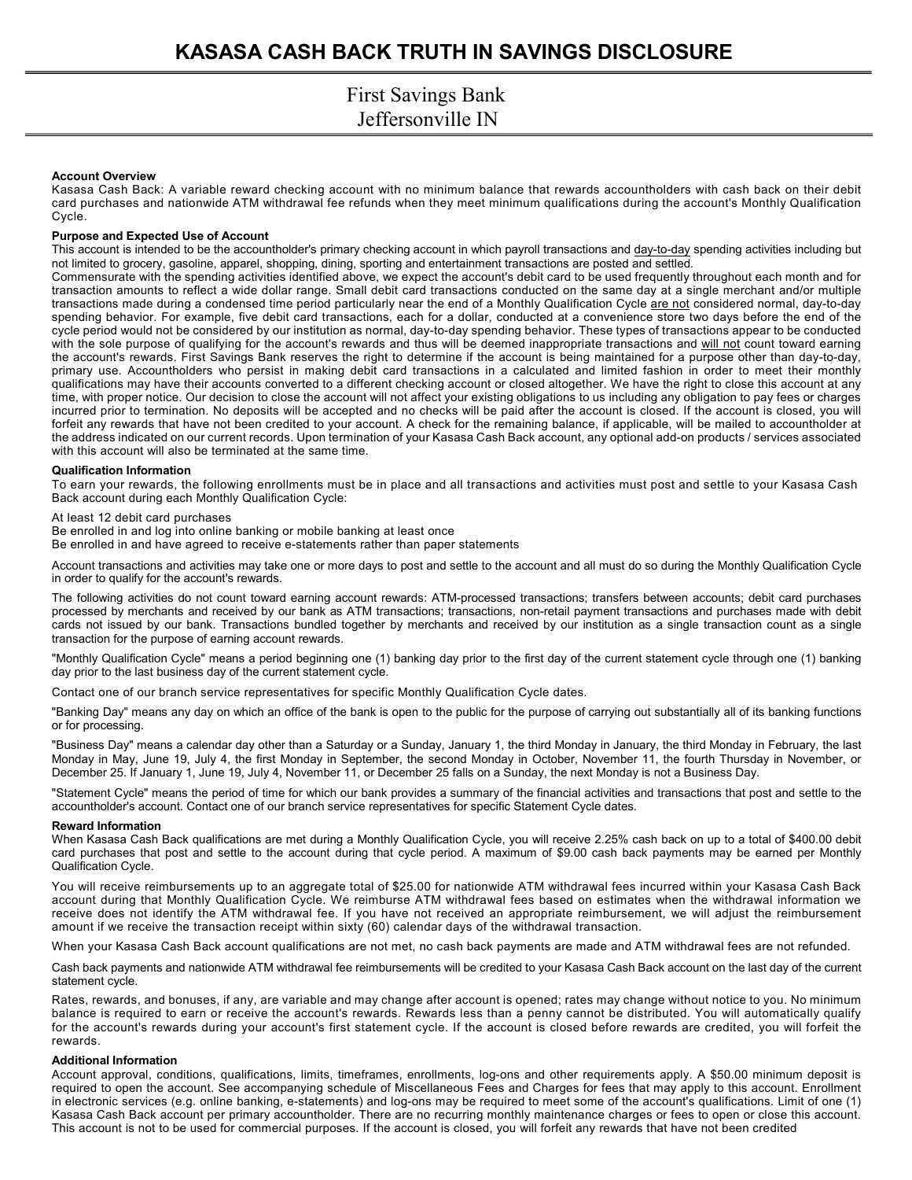#### **Account Overview**

Kasasa Cash Back: A variable reward checking account with no minimum balance that rewards accountholders with cash back on their debit card purchases and nationwide ATM withdrawal fee refunds when they meet minimum qualifications during the account's Monthly Qualification Cycle.

#### **Purpose and Expected Use of Account**

This account is intended to be the accountholder's primary checking account in which payroll transactions and day-to-day spending activities including but not limited to grocery, gasoline, apparel, shopping, dining, sporting and entertainment transactions are posted and settled.

Commensurate with the spending activities identified above, we expect the account's debit card to be used frequently throughout each month and for transaction amounts to reflect a wide dollar range. Small debit card transactions conducted on the same day at a single merchant and/or multiple transactions made during a condensed time period particularly near the end of a Monthly Qualification Cycle are not considered normal, day-to-day spending behavior. For example, five debit card transactions, each for a dollar, conducted at a convenience store two days before the end of the cycle period would not be considered by our institution as normal, day-to-day spending behavior. These types of transactions appear to be conducted with the sole purpose of qualifying for the account's rewards and thus will be deemed inappropriate transactions and will not count toward earning the account's rewards. First Savings Bank reserves the right to determine if the account is being maintained for a purpose other than day-to-day, primary use. Accountholders who persist in making debit card transactions in a calculated and limited fashion in order to meet their monthly qualifications may have their accounts converted to a different checking account or closed altogether. We have the right to close this account at any time, with proper notice. Our decision to close the account will not affect your existing obligations to us including any obligation to pay fees or charges incurred prior to termination. No deposits will be accepted and no checks will be paid after the account is closed. If the account is closed, you will forfeit any rewards that have not been credited to your account. A check for the remaining balance, if applicable, will be mailed to accountholder at the address indicated on our current records. Upon termination of your Kasasa Cash Back account, any optional add-on products / services associated with this account will also be terminated at the same time.

#### **Qualification Information**

To earn your rewards, the following enrollments must be in place and all transactions and activities must post and settle to your Kasasa Cash Back account during each Monthly Qualification Cycle:

At least 12 debit card purchases

Be enrolled in and log into online banking or mobile banking at least once

Be enrolled in and have agreed to receive e-statements rather than paper statements

Account transactions and activities may take one or more days to post and settle to the account and all must do so during the Monthly Qualification Cycle in order to qualify for the account's rewards.

The following activities do not count toward earning account rewards: ATM-processed transactions; transfers between accounts; debit card purchases processed by merchants and received by our bank as ATM transactions; transactions, non-retail payment transactions and purchases made with debit cards not issued by our bank. Transactions bundled together by merchants and received by our institution as a single transaction count as a single transaction for the purpose of earning account rewards.

"Monthly Qualification Cycle" means a period beginning one (1) banking day prior to the first day of the current statement cycle through one (1) banking day prior to the last business day of the current statement cycle.

Contact one of our branch service representatives for specific Monthly Qualification Cycle dates.

"Banking Day" means any day on which an office of the bank is open to the public for the purpose of carrying out substantially all of its banking functions or for processing.

"Business Day" means a calendar day other than a Saturday or a Sunday, January 1, the third Monday in January, the third Monday in February, the last Monday in May, June 19, July 4, the first Monday in September, the second Monday in October, November 11, the fourth Thursday in November, or December 25. If January 1, June 19, July 4, November 11, or December 25 falls on a Sunday, the next Monday is not a Business Day.

"Statement Cycle" means the period of time for which our bank provides a summary of the financial activities and transactions that post and settle to the accountholder's account. Contact one of our branch service representatives for specific Statement Cycle dates.

#### **Reward Information**

When Kasasa Cash Back qualifications are met during a Monthly Qualification Cycle, you will receive 2.25% cash back on up to a total of \$400.00 debit card purchases that post and settle to the account during that cycle period. A maximum of \$9.00 cash back payments may be earned per Monthly Qualification Cycle.

You will receive reimbursements up to an aggregate total of \$25.00 for nationwide ATM withdrawal fees incurred within your Kasasa Cash Back account during that Monthly Qualification Cycle. We reimburse ATM withdrawal fees based on estimates when the withdrawal information we receive does not identify the ATM withdrawal fee. If you have not received an appropriate reimbursement, we will adjust the reimbursement amount if we receive the transaction receipt within sixty (60) calendar days of the withdrawal transaction.

When your Kasasa Cash Back account qualifications are not met, no cash back payments are made and ATM withdrawal fees are not refunded.

Cash back payments and nationwide ATM withdrawal fee reimbursements will be credited to your Kasasa Cash Back account on the last day of the current statement cycle.

Rates, rewards, and bonuses, if any, are variable and may change after account is opened; rates may change without notice to you. No minimum balance is required to earn or receive the account's rewards. Rewards less than a penny cannot be distributed. You will automatically qualify for the account's rewards during your account's first statement cycle. If the account is closed before rewards are credited, you will forfeit the rewards.

#### **Additional Information**

Account approval, conditions, qualifications, limits, timeframes, enrollments, log-ons and other requirements apply. A \$50.00 minimum deposit is required to open the account. See accompanying schedule of Miscellaneous Fees and Charges for fees that may apply to this account. Enrollment in electronic services (e.g. online banking, e-statements) and log-ons may be required to meet some of the account's qualifications. Limit of one (1) Kasasa Cash Back account per primary accountholder. There are no recurring monthly maintenance charges or fees to open or close this account. This account is not to be used for commercial purposes. If the account is closed, you will forfeit any rewards that have not been credited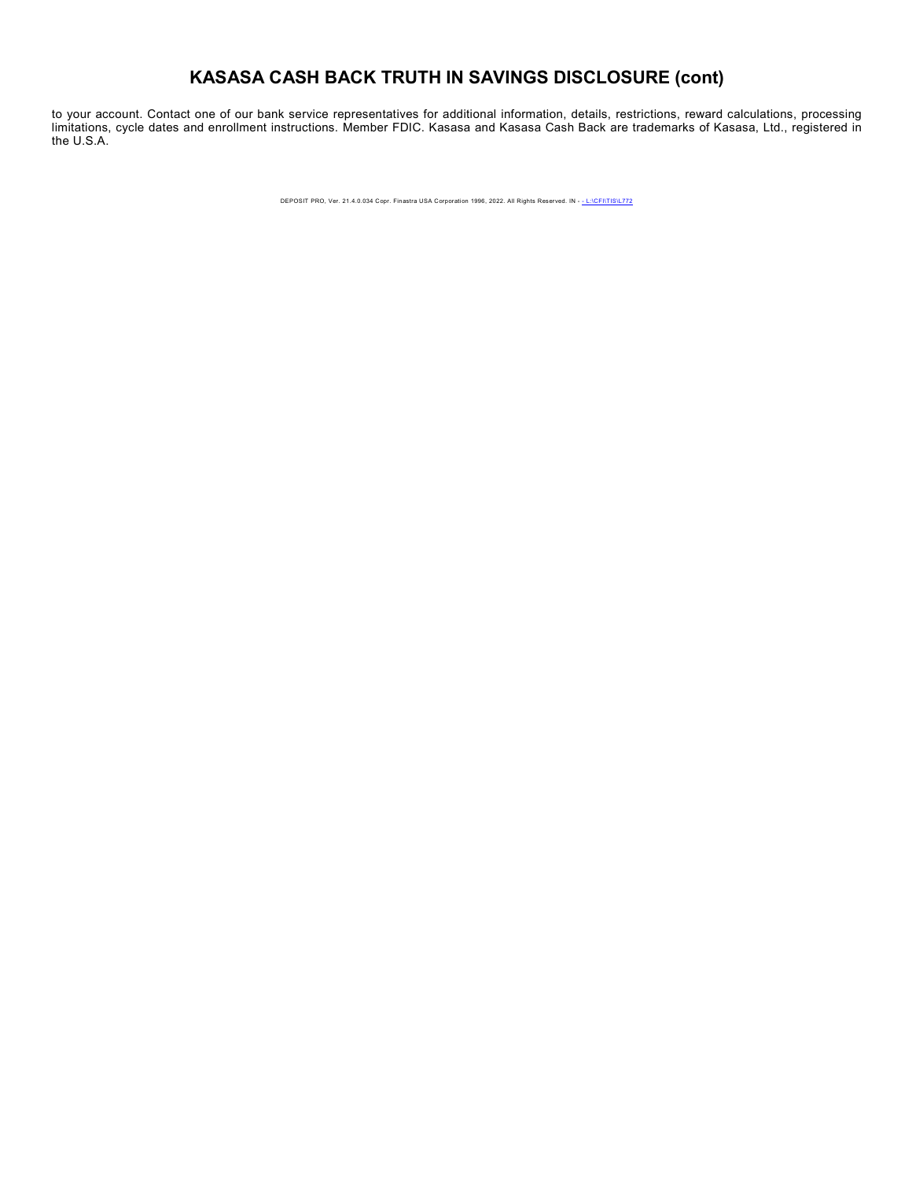# **KASASA CASH BACK TRUTH IN SAVINGS DISCLOSURE (cont)**

to your account. Contact one of our bank service representatives for additional information, details, restrictions, reward calculations, processing limitations, cycle dates and enrollment instructions. Member FDIC. Kasasa and Kasasa Cash Back are trademarks of Kasasa, Ltd., registered in the U.S.A.

DEPOSIT PRO, Ver. 21.4.0.034 Copr. Finastra USA Corporation 1996, 2022. All Rights Reserved. IN - - L:\CFI\TIS\L772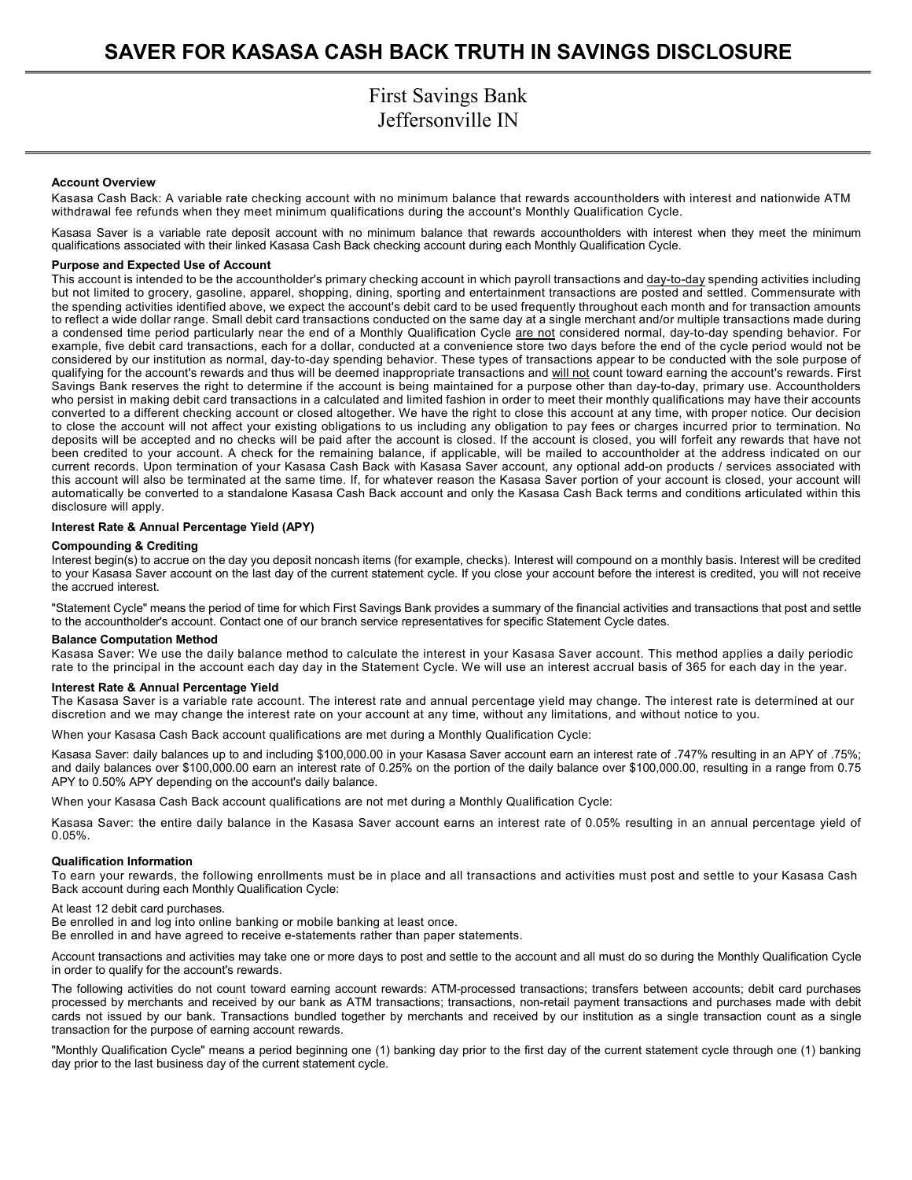#### **Account Overview**

Kasasa Cash Back: A variable rate checking account with no minimum balance that rewards accountholders with interest and nationwide ATM withdrawal fee refunds when they meet minimum qualifications during the account's Monthly Qualification Cycle.

Kasasa Saver is a variable rate deposit account with no minimum balance that rewards accountholders with interest when they meet the minimum qualifications associated with their linked Kasasa Cash Back checking account during each Monthly Qualification Cycle.

#### **Purpose and Expected Use of Account**

This account is intended to be the accountholder's primary checking account in which payroll transactions and day-to-day spending activities including but not limited to grocery, gasoline, apparel, shopping, dining, sporting and entertainment transactions are posted and settled. Commensurate with the spending activities identified above, we expect the account's debit card to be used frequently throughout each month and for transaction amounts to reflect a wide dollar range. Small debit card transactions conducted on the same day at a single merchant and/or multiple transactions made during a condensed time period particularly near the end of a Monthly Qualification Cycle are not considered normal, day-to-day spending behavior. For example, five debit card transactions, each for a dollar, conducted at a convenience store two days before the end of the cycle period would not be considered by our institution as normal, day-to-day spending behavior. These types of transactions appear to be conducted with the sole purpose of qualifying for the account's rewards and thus will be deemed inappropriate transactions and will not count toward earning the account's rewards. First Savings Bank reserves the right to determine if the account is being maintained for a purpose other than day-to-day, primary use. Accountholders who persist in making debit card transactions in a calculated and limited fashion in order to meet their monthly qualifications may have their accounts converted to a different checking account or closed altogether. We have the right to close this account at any time, with proper notice. Our decision to close the account will not affect your existing obligations to us including any obligation to pay fees or charges incurred prior to termination. No deposits will be accepted and no checks will be paid after the account is closed. If the account is closed, you will forfeit any rewards that have not been credited to your account. A check for the remaining balance, if applicable, will be mailed to accountholder at the address indicated on our current records. Upon termination of your Kasasa Cash Back with Kasasa Saver account, any optional add-on products / services associated with this account will also be terminated at the same time. If, for whatever reason the Kasasa Saver portion of your account is closed, your account will automatically be converted to a standalone Kasasa Cash Back account and only the Kasasa Cash Back terms and conditions articulated within this disclosure will apply.

#### **Interest Rate & Annual Percentage Yield (APY)**

#### **Compounding & Crediting**

Interest begin(s) to accrue on the day you deposit noncash items (for example, checks). Interest will compound on a monthly basis. Interest will be credited to your Kasasa Saver account on the last day of the current statement cycle. If you close your account before the interest is credited, you will not receive the accrued interest.

"Statement Cycle" means the period of time for which First Savings Bank provides a summary of the financial activities and transactions that post and settle to the accountholder's account. Contact one of our branch service representatives for specific Statement Cycle dates.

#### **Balance Computation Method**

Kasasa Saver: We use the daily balance method to calculate the interest in your Kasasa Saver account. This method applies a daily periodic rate to the principal in the account each day day in the Statement Cycle. We will use an interest accrual basis of 365 for each day in the year.

#### **Interest Rate & Annual Percentage Yield**

The Kasasa Saver is a variable rate account. The interest rate and annual percentage yield may change. The interest rate is determined at our discretion and we may change the interest rate on your account at any time, without any limitations, and without notice to you.

When your Kasasa Cash Back account qualifications are met during a Monthly Qualification Cycle:

Kasasa Saver: daily balances up to and including \$100,000.00 in your Kasasa Saver account earn an interest rate of .747% resulting in an APY of .75%; and daily balances over \$100,000.00 earn an interest rate of 0.25% on the portion of the daily balance over \$100,000.00, resulting in a range from 0.75 APY to 0.50% APY depending on the account's daily balance.

When your Kasasa Cash Back account qualifications are not met during a Monthly Qualification Cycle:

Kasasa Saver: the entire daily balance in the Kasasa Saver account earns an interest rate of 0.05% resulting in an annual percentage yield of 0.05%.

#### **Qualification Information**

To earn your rewards, the following enrollments must be in place and all transactions and activities must post and settle to your Kasasa Cash Back account during each Monthly Qualification Cycle:

At least 12 debit card purchases.

Be enrolled in and log into online banking or mobile banking at least once.

Be enrolled in and have agreed to receive e-statements rather than paper statements.

Account transactions and activities may take one or more days to post and settle to the account and all must do so during the Monthly Qualification Cycle in order to qualify for the account's rewards.

The following activities do not count toward earning account rewards: ATM-processed transactions; transfers between accounts; debit card purchases processed by merchants and received by our bank as ATM transactions; transactions, non-retail payment transactions and purchases made with debit cards not issued by our bank. Transactions bundled together by merchants and received by our institution as a single transaction count as a single transaction for the purpose of earning account rewards.

"Monthly Qualification Cycle" means a period beginning one (1) banking day prior to the first day of the current statement cycle through one (1) banking day prior to the last business day of the current statement cycle.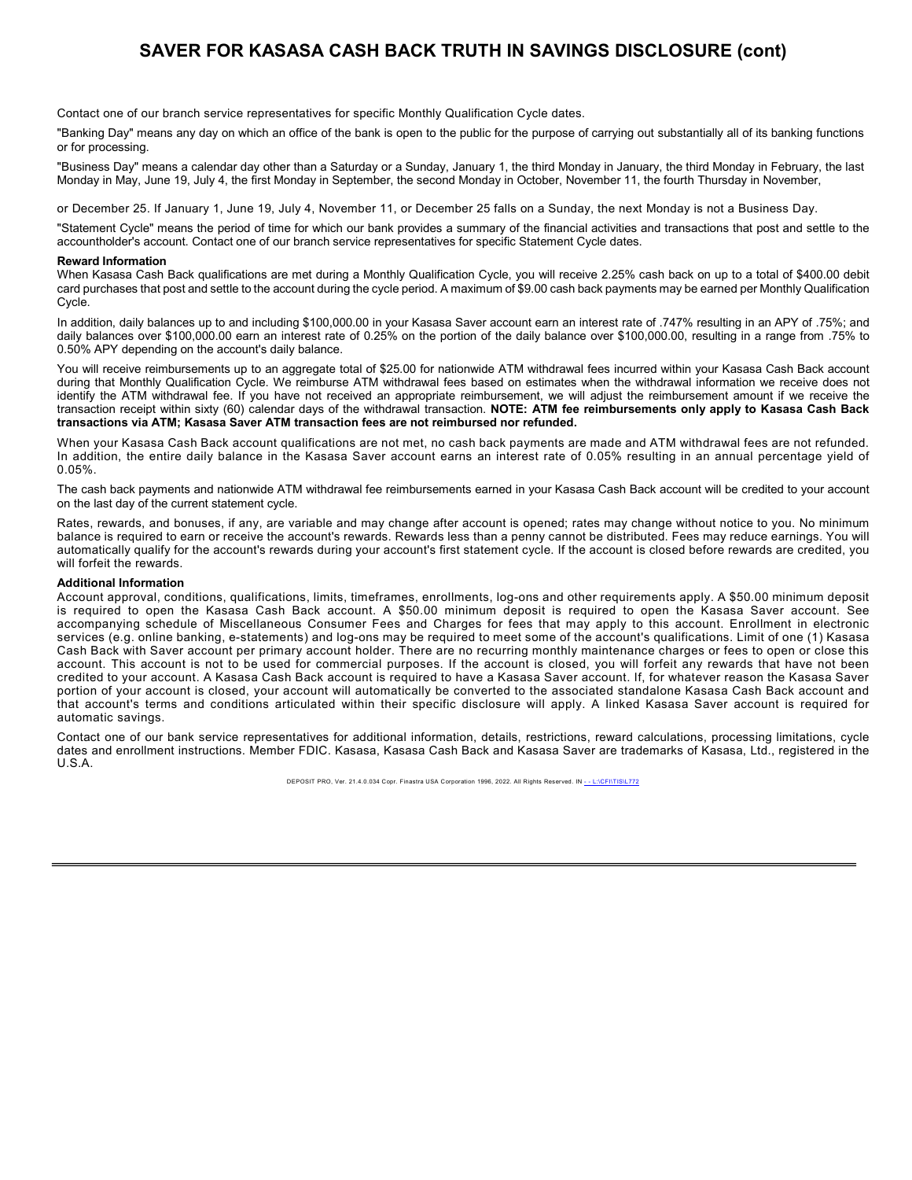### **SAVER FOR KASASA CASH BACK TRUTH IN SAVINGS DISCLOSURE (cont)**

Contact one of our branch service representatives for specific Monthly Qualification Cycle dates.

"Banking Day" means any day on which an office of the bank is open to the public for the purpose of carrying out substantially all of its banking functions or for processing.

"Business Day" means a calendar day other than a Saturday or a Sunday, January 1, the third Monday in January, the third Monday in February, the last Monday in May, June 19, July 4, the first Monday in September, the second Monday in October, November 11, the fourth Thursday in November,

or December 25. If January 1, June 19, July 4, November 11, or December 25 falls on a Sunday, the next Monday is not a Business Day.

"Statement Cycle" means the period of time for which our bank provides a summary of the financial activities and transactions that post and settle to the accountholder's account. Contact one of our branch service representatives for specific Statement Cycle dates.

#### **Reward Information**

When Kasasa Cash Back qualifications are met during a Monthly Qualification Cycle, you will receive 2.25% cash back on up to a total of \$400.00 debit card purchases that post and settle to the account during the cycle period. A maximum of \$9.00 cash back payments may be earned per Monthly Qualification Cycle.

In addition, daily balances up to and including \$100,000.00 in your Kasasa Saver account earn an interest rate of .747% resulting in an APY of .75%; and daily balances over \$100,000.00 earn an interest rate of 0.25% on the portion of the daily balance over \$100,000.00, resulting in a range from .75% to 0.50% APY depending on the account's daily balance.

You will receive reimbursements up to an aggregate total of \$25.00 for nationwide ATM withdrawal fees incurred within your Kasasa Cash Back account during that Monthly Qualification Cycle. We reimburse ATM withdrawal fees based on estimates when the withdrawal information we receive does not identify the ATM withdrawal fee. If you have not received an appropriate reimbursement, we will adjust the reimbursement amount if we receive the transaction receipt within sixty (60) calendar days of the withdrawal transaction. **NOTE: ATM fee reimbursements only apply to Kasasa Cash Back transactions via ATM; Kasasa Saver ATM transaction fees are not reimbursed nor refunded.**

When your Kasasa Cash Back account qualifications are not met, no cash back payments are made and ATM withdrawal fees are not refunded. In addition, the entire daily balance in the Kasasa Saver account earns an interest rate of 0.05% resulting in an annual percentage yield of 0.05%.

The cash back payments and nationwide ATM withdrawal fee reimbursements earned in your Kasasa Cash Back account will be credited to your account on the last day of the current statement cycle.

Rates, rewards, and bonuses, if any, are variable and may change after account is opened; rates may change without notice to you. No minimum balance is required to earn or receive the account's rewards. Rewards less than a penny cannot be distributed. Fees may reduce earnings. You will automatically qualify for the account's rewards during your account's first statement cycle. If the account is closed before rewards are credited, you will forfeit the rewards.

#### **Additional Information**

Account approval, conditions, qualifications, limits, timeframes, enrollments, log-ons and other requirements apply. A \$50.00 minimum deposit is required to open the Kasasa Cash Back account. A \$50.00 minimum deposit is required to open the Kasasa Saver account. See accompanying schedule of Miscellaneous Consumer Fees and Charges for fees that may apply to this account. Enrollment in electronic services (e.g. online banking, e-statements) and log-ons may be required to meet some of the account's qualifications. Limit of one (1) Kasasa Cash Back with Saver account per primary account holder. There are no recurring monthly maintenance charges or fees to open or close this account. This account is not to be used for commercial purposes. If the account is closed, you will forfeit any rewards that have not been credited to your account. A Kasasa Cash Back account is required to have a Kasasa Saver account. If, for whatever reason the Kasasa Saver portion of your account is closed, your account will automatically be converted to the associated standalone Kasasa Cash Back account and that account's terms and conditions articulated within their specific disclosure will apply. A linked Kasasa Saver account is required for automatic savings.

Contact one of our bank service representatives for additional information, details, restrictions, reward calculations, processing limitations, cycle dates and enrollment instructions. Member FDIC. Kasasa, Kasasa Cash Back and Kasasa Saver are trademarks of Kasasa, Ltd., registered in the U.S.A.

DEPOSIT PRO, Ver. 21.4.0.034 Copr. Finastra USA Corporation 1996, 2022. All Rights Reserved. IN -- L:\CFI\TIS\L772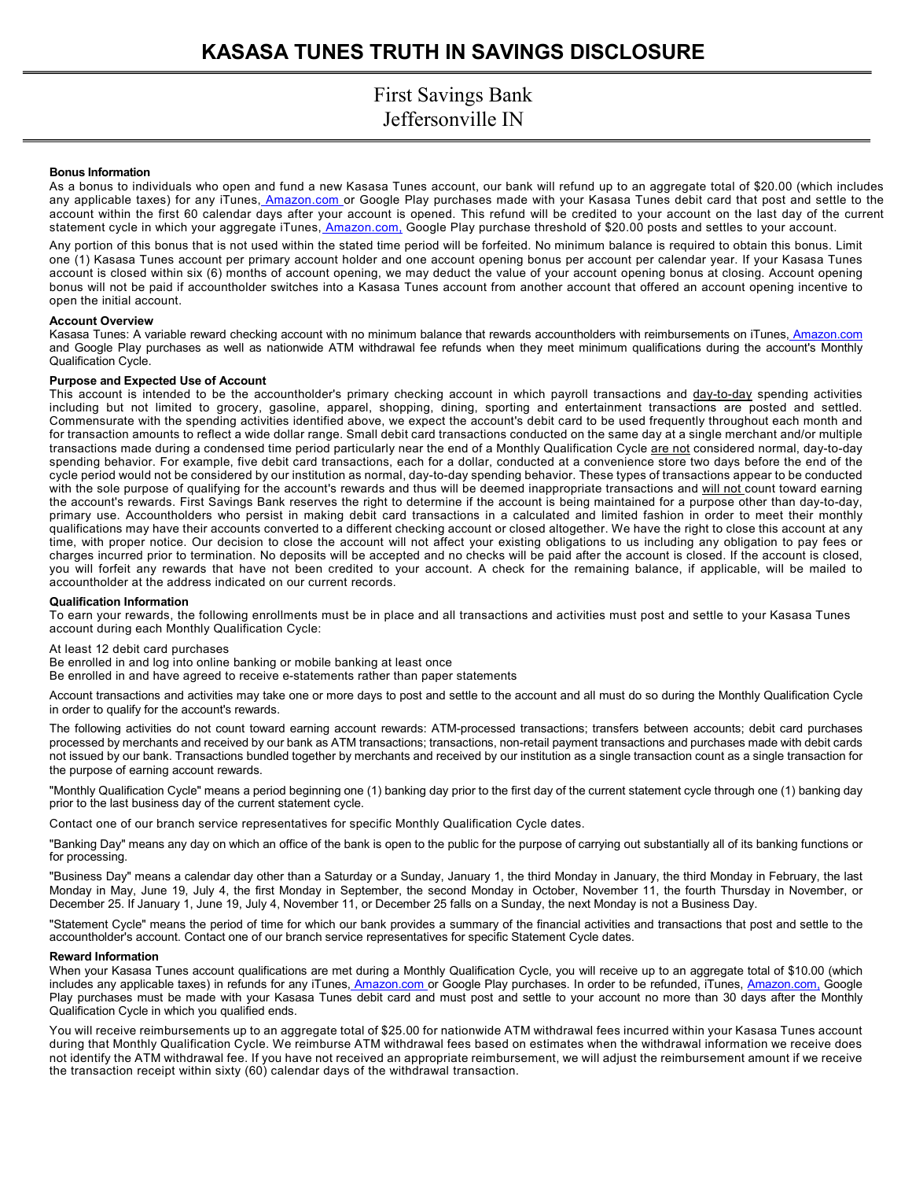#### **Bonus Information**

As a bonus to individuals who open and fund a new Kasasa Tunes account, our bank will refund up to an aggregate total of \$20.00 (which includes any applicable taxes) for any iTunes[, Amazon.com](http://amazon.com/) [o](http://amazon.com/)r Google Play purchases made with your Kasasa Tunes debit card that post and settle to the account within the first 60 calendar days after your account is opened. This refund will be credited to your account on the last day of the current statement cycle in which your aggregate iTunes[, Amazon.com, G](http://amazon.com/)oogle Play purchase threshold of \$20.00 posts and settles to your account.

Any portion of this bonus that is not used within the stated time period will be forfeited. No minimum balance is required to obtain this bonus. Limit one (1) Kasasa Tunes account per primary account holder and one account opening bonus per account per calendar year. If your Kasasa Tunes account is closed within six (6) months of account opening, we may deduct the value of your account opening bonus at closing. Account opening bonus will not be paid if accountholder switches into a Kasasa Tunes account from another account that offered an account opening incentive to open the initial account.

#### **Account Overview**

Kasasa Tunes: A variable reward checking account with no minimum balance that rewards accountholders with reimbursements on iTunes[, Amazon.com](http://amazon.com/)  and Google Play purchases as well as nationwide ATM withdrawal fee refunds when they meet minimum qualifications during the account's Monthly Qualification Cycle.

#### **Purpose and Expected Use of Account**

This account is intended to be the accountholder's primary checking account in which payroll transactions and day-to-day spending activities including but not limited to grocery, gasoline, apparel, shopping, dining, sporting and entertainment transactions are posted and settled. Commensurate with the spending activities identified above, we expect the account's debit card to be used frequently throughout each month and for transaction amounts to reflect a wide dollar range. Small debit card transactions conducted on the same day at a single merchant and/or multiple transactions made during a condensed time period particularly near the end of a Monthly Qualification Cycle are not considered normal, day-to-day spending behavior. For example, five debit card transactions, each for a dollar, conducted at a convenience store two days before the end of the cycle period would not be considered by our institution as normal, day-to-day spending behavior. These types of transactions appear to be conducted with the sole purpose of qualifying for the account's rewards and thus will be deemed inappropriate transactions and will not count toward earning the account's rewards. First Savings Bank reserves the right to determine if the account is being maintained for a purpose other than day-to-day, primary use. Accountholders who persist in making debit card transactions in a calculated and limited fashion in order to meet their monthly qualifications may have their accounts converted to a different checking account or closed altogether. We have the right to close this account at any time, with proper notice. Our decision to close the account will not affect your existing obligations to us including any obligation to pay fees or charges incurred prior to termination. No deposits will be accepted and no checks will be paid after the account is closed. If the account is closed, you will forfeit any rewards that have not been credited to your account. A check for the remaining balance, if applicable, will be mailed to accountholder at the address indicated on our current records.

#### **Qualification Information**

To earn your rewards, the following enrollments must be in place and all transactions and activities must post and settle to your Kasasa Tunes account during each Monthly Qualification Cycle:

At least 12 debit card purchases

Be enrolled in and log into online banking or mobile banking at least once

Be enrolled in and have agreed to receive e-statements rather than paper statements

Account transactions and activities may take one or more days to post and settle to the account and all must do so during the Monthly Qualification Cycle in order to qualify for the account's rewards.

The following activities do not count toward earning account rewards: ATM-processed transactions; transfers between accounts; debit card purchases processed by merchants and received by our bank as ATM transactions; transactions, non-retail payment transactions and purchases made with debit cards not issued by our bank. Transactions bundled together by merchants and received by our institution as a single transaction count as a single transaction for the purpose of earning account rewards.

"Monthly Qualification Cycle" means a period beginning one (1) banking day prior to the first day of the current statement cycle through one (1) banking day prior to the last business day of the current statement cycle.

Contact one of our branch service representatives for specific Monthly Qualification Cycle dates.

"Banking Day" means any day on which an office of the bank is open to the public for the purpose of carrying out substantially all of its banking functions or for processing.

"Business Day" means a calendar day other than a Saturday or a Sunday, January 1, the third Monday in January, the third Monday in February, the last Monday in May, June 19, July 4, the first Monday in September, the second Monday in October, November 11, the fourth Thursday in November, or December 25. If January 1, June 19, July 4, November 11, or December 25 falls on a Sunday, the next Monday is not a Business Day.

"Statement Cycle" means the period of time for which our bank provides a summary of the financial activities and transactions that post and settle to the accountholder's account. Contact one of our branch service representatives for specific Statement Cycle dates.

#### **Reward Information**

When your Kasasa Tunes account qualifications are met during a Monthly Qualification Cycle, you will receive up to an aggregate total of \$10.00 (which includes any applicable taxes) in refunds for any iTunes, [Amazon.com](http://amazon.com/) [o](http://amazon.com/)r Google Play purchases. In order to be refunded, iTunes, [Amazon.com,](http://amazon.com/) Google Play purchases must be made with your Kasasa Tunes debit card and must post and settle to your account no more than 30 days after the Monthly Qualification Cycle in which you qualified ends.

You will receive reimbursements up to an aggregate total of \$25.00 for nationwide ATM withdrawal fees incurred within your Kasasa Tunes account during that Monthly Qualification Cycle. We reimburse ATM withdrawal fees based on estimates when the withdrawal information we receive does not identify the ATM withdrawal fee. If you have not received an appropriate reimbursement, we will adjust the reimbursement amount if we receive the transaction receipt within sixty (60) calendar days of the withdrawal transaction.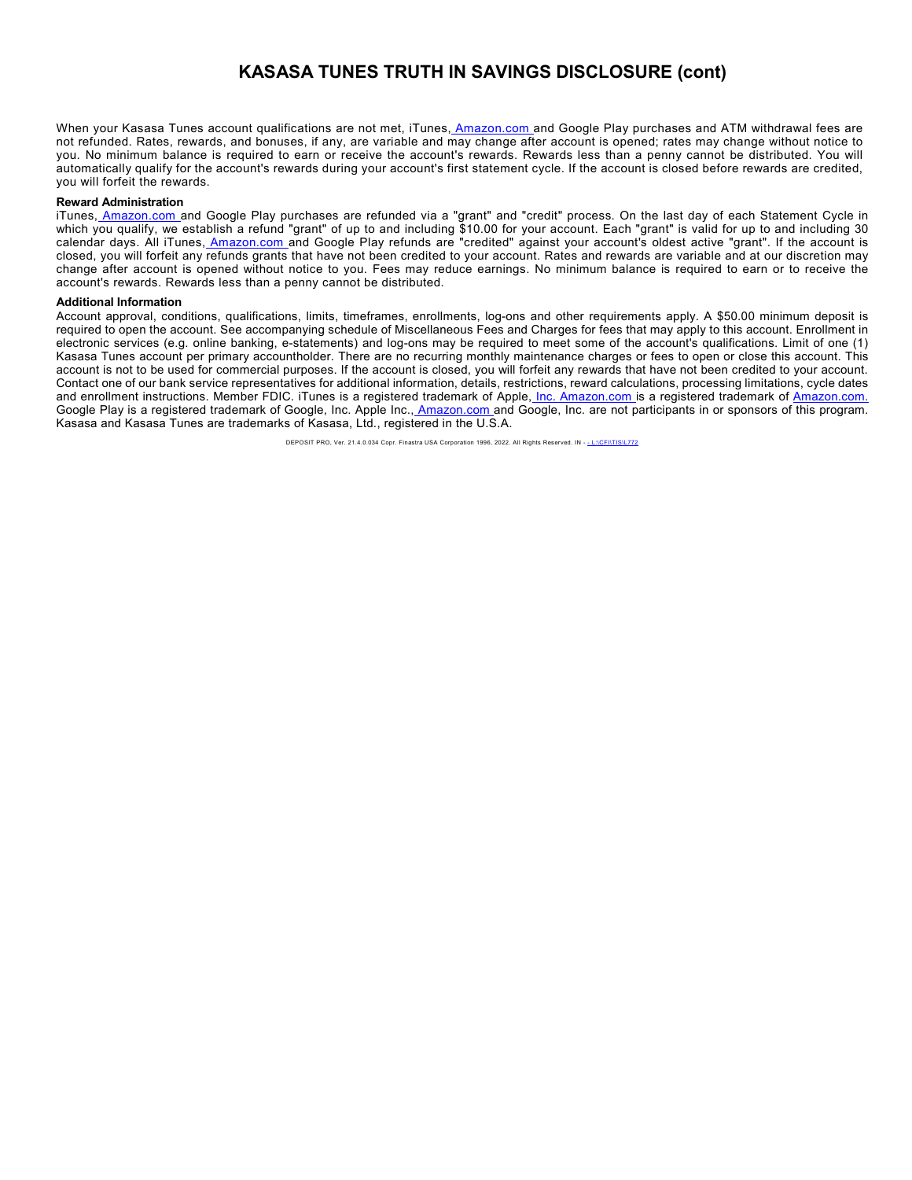### **KASASA TUNES TRUTH IN SAVINGS DISCLOSURE (cont)**

When your Kasasa Tunes account qualifications are not met, iTunes[, Amazon.com](http://amazon.com/) and Google Play purchases and ATM withdrawal fees are not refunded. Rates, rewards, and bonuses, if any, are variable and may change after account is opened; rates may change without notice to you. No minimum balance is required to earn or receive the account's rewards. Rewards less than a penny cannot be distributed. You will automatically qualify for the account's rewards during your account's first statement cycle. If the account is closed before rewards are credited, you will forfeit the rewards.

#### **Reward Administration**

iTune[s, Amazon.com](http://amazon.com/) and Google Play purchases are refunded via a "grant" and "credit" process. On the last day of each Statement Cycle in which you qualify, we establish a refund "grant" of up to and including \$10.00 for your account. Each "grant" is valid for up to and including 30 calendar days. All iTunes<u>[, Amazon.com](http://amazon.com/) a</u>nd Google Play refunds are "credited" against your account's oldest active "grant". If the account is closed, you will forfeit any refunds grants that have not been credited to your account. Rates and rewards are variable and at our discretion may change after account is opened without notice to you. Fees may reduce earnings. No minimum balance is required to earn or to receive the account's rewards. Rewards less than a penny cannot be distributed.

#### **Additional Information**

Account approval, conditions, qualifications, limits, timeframes, enrollments, log-ons and other requirements apply. A \$50.00 minimum deposit is required to open the account. See accompanying schedule of Miscellaneous Fees and Charges for fees that may apply to this account. Enrollment in electronic services (e.g. online banking, e-statements) and log-ons may be required to meet some of the account's qualifications. Limit of one (1) Kasasa Tunes account per primary accountholder. There are no recurring monthly maintenance charges or fees to open or close this account. This account is not to be used for commercial purposes. If the account is closed, you will forfeit any rewards that have not been credited to your account. Contact one of our bank service representatives for additional information, details, restrictions, reward calculations, processing limitations, cycle dates and enrollment instructions. Member FDIC. iTunes is a registered trademark of Apple[, Inc. Amazon.com](http://inc.amazon.com/) is a registered trademark of [Amazon.com.](http://amazon.com/) Google Play is a registered trademark of Google, Inc. Apple Inc.[, Amazon.com](http://amazon.com/) [a](http://amazon.com/)nd Google, Inc. are not participants in or sponsors of this program. Kasasa and Kasasa Tunes are trademarks of Kasasa, Ltd., registered in the U.S.A.

DEPOSIT PRO, Ver. 21.4.0.034 Copr. Finastra USA Corporation 1996, 2022. All Rights Reserved. IN - - L:\CFI\TIS\L772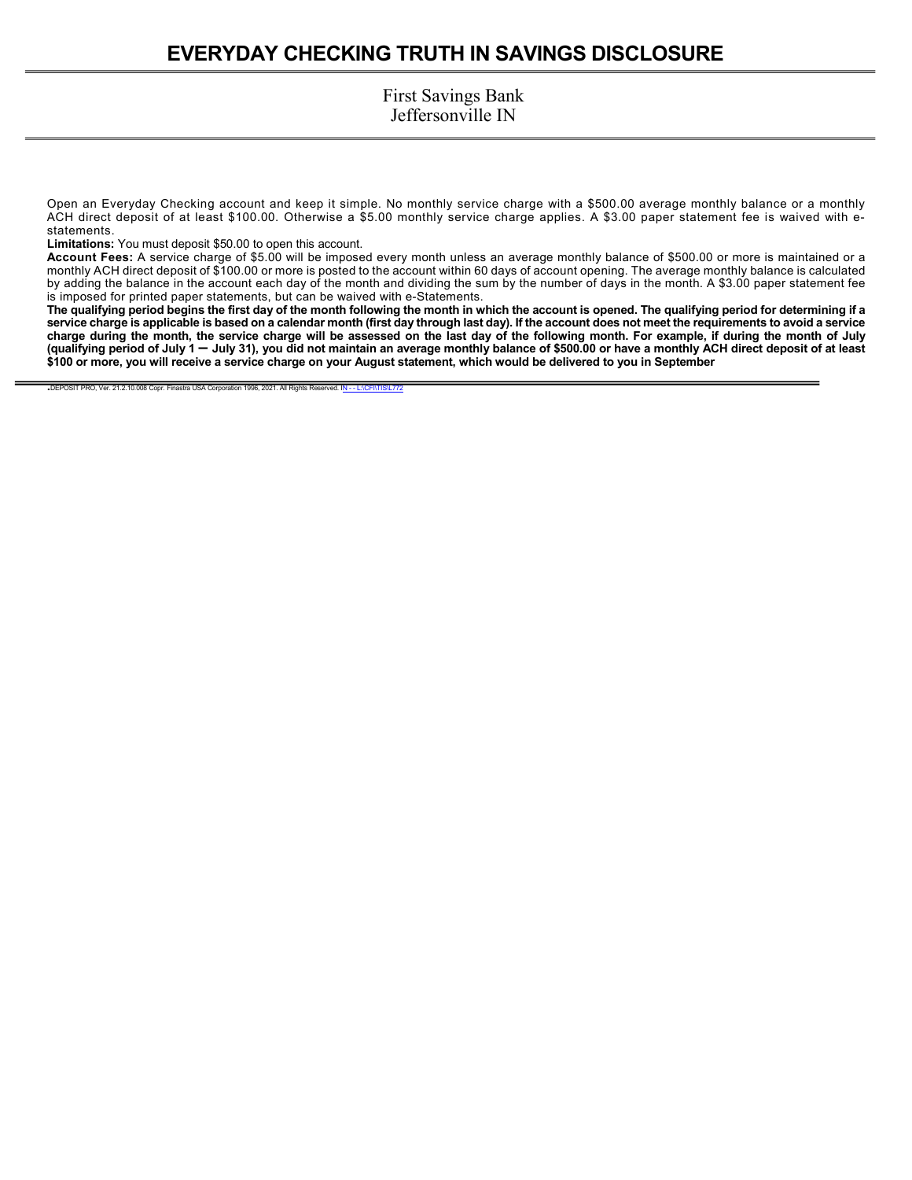Open an Everyday Checking account and keep it simple. No monthly service charge with a \$500.00 average monthly balance or a monthly ACH direct deposit of at least \$100.00. Otherwise a \$5.00 monthly service charge applies. A \$3.00 paper statement fee is waived with estatements.

**Limitations:** You must deposit \$50.00 to open this account.

**Account Fees:** A service charge of \$5.00 will be imposed every month unless an average monthly balance of \$500.00 or more is maintained or a monthly ACH direct deposit of \$100.00 or more is posted to the account within 60 days of account opening. The average monthly balance is calculated by adding the balance in the account each day of the month and dividing the sum by the number of days in the month. A \$3.00 paper statement fee is imposed for printed paper statements, but can be waived with e-Statements.

**The qualifying period begins the first day of the month following the month in which the account is opened. The qualifying period for determining if a service charge is applicable is based on a calendar month (first day through last day). If the account does not meet the requirements to avoid a service charge during the month, the service charge will be assessed on the last day of the following month. For example, if during the month of July (qualifying period of July 1 – July 31), you did not maintain an average monthly balance of \$500.00 or have a monthly ACH direct deposit of at least \$100 or more, you will receive a service charge on your August statement, which would be delivered to you in September** 

DEPOSIT PRO, Ver. 21.2.10.008 Copr. Finastra USA Corporation 1996, 2021. All Rights Reserved. IN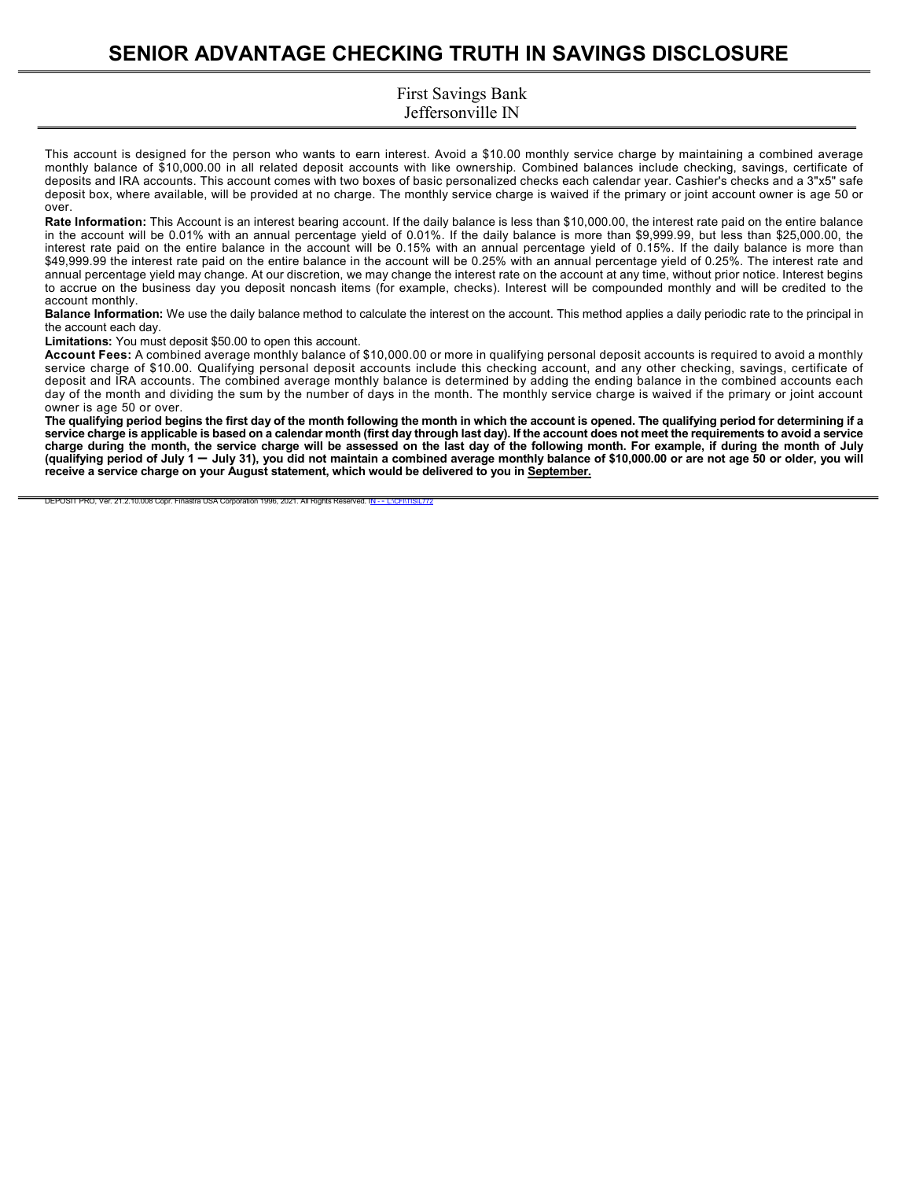# **SENIOR ADVANTAGE CHECKING TRUTH IN SAVINGS DISCLOSURE**

### First Savings Bank Jeffersonville IN

This account is designed for the person who wants to earn interest. Avoid a \$10.00 monthly service charge by maintaining a combined average monthly balance of \$10,000.00 in all related deposit accounts with like ownership. Combined balances include checking, savings, certificate of deposits and IRA accounts. This account comes with two boxes of basic personalized checks each calendar year. Cashier's checks and a 3"x5" safe deposit box, where available, will be provided at no charge. The monthly service charge is waived if the primary or joint account owner is age 50 or over.

**Rate Information:** This Account is an interest bearing account. If the daily balance is less than \$10,000.00, the interest rate paid on the entire balance in the account will be 0.01% with an annual percentage yield of 0.01%. If the daily balance is more than \$9,999.99, but less than \$25,000.00, the interest rate paid on the entire balance in the account will be 0.15% with an annual percentage yield of 0.15%. If the daily balance is more than \$49,999.99 the interest rate paid on the entire balance in the account will be 0.25% with an annual percentage yield of 0.25%. The interest rate and annual percentage yield may change. At our discretion, we may change the interest rate on the account at any time, without prior notice. Interest begins to accrue on the business day you deposit noncash items (for example, checks). Interest will be compounded monthly and will be credited to the account monthly.

**Balance Information:** We use the daily balance method to calculate the interest on the account. This method applies a daily periodic rate to the principal in the account each day.

**Limitations:** You must deposit \$50.00 to open this account.

**Account Fees:** A combined average monthly balance of \$10,000.00 or more in qualifying personal deposit accounts is required to avoid a monthly service charge of \$10.00. Qualifying personal deposit accounts include this checking account, and any other checking, savings, certificate of deposit and IRA accounts. The combined average monthly balance is determined by adding the ending balance in the combined accounts each day of the month and dividing the sum by the number of days in the month. The monthly service charge is waived if the primary or joint account owner is age 50 or over.

**The qualifying period begins the first day of the month following the month in which the account is opened. The qualifying period for determining if a service charge is applicable is based on a calendar month (first day through last day). If the account does not meet the requirements to avoid a service charge during the month, the service charge will be assessed on the last day of the following month. For example, if during the month of July (qualifying period of July 1 – July 31), you did not maintain a combined average monthly balance of \$10,000.00 or are not age 50 or older, you will receive a service charge on your August statement, which would be delivered to you in September.** 

DEPOSIT PRO, Ver. 21.2.10.008 Copr. Finastra USA Corporation 1996, 2021. All Rights Reserved. IN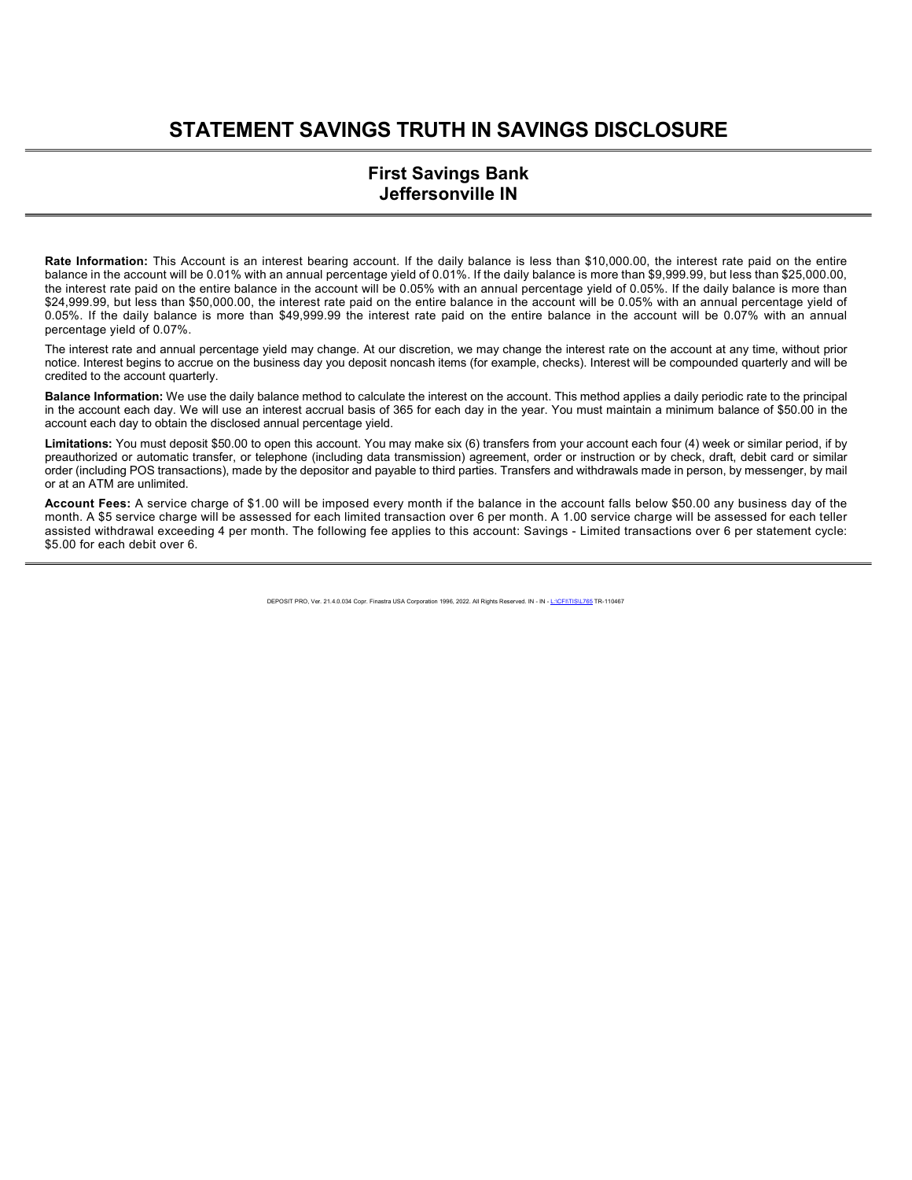# **STATEMENT SAVINGS TRUTH IN SAVINGS DISCLOSURE**

### **First Savings Bank Jeffersonville IN**

**Rate Information:** This Account is an interest bearing account. If the daily balance is less than \$10,000.00, the interest rate paid on the entire balance in the account will be 0.01% with an annual percentage yield of 0.01%. If the daily balance is more than \$9,999.99, but less than \$25,000.00, the interest rate paid on the entire balance in the account will be 0.05% with an annual percentage yield of 0.05%. If the daily balance is more than \$24,999.99, but less than \$50,000.00, the interest rate paid on the entire balance in the account will be 0.05% with an annual percentage yield of 0.05%. If the daily balance is more than \$49,999.99 the interest rate paid on the entire balance in the account will be 0.07% with an annual percentage yield of 0.07%.

The interest rate and annual percentage yield may change. At our discretion, we may change the interest rate on the account at any time, without prior notice. Interest begins to accrue on the business day you deposit noncash items (for example, checks). Interest will be compounded quarterly and will be credited to the account quarterly.

**Balance Information:** We use the daily balance method to calculate the interest on the account. This method applies a daily periodic rate to the principal in the account each day. We will use an interest accrual basis of 365 for each day in the year. You must maintain a minimum balance of \$50.00 in the account each day to obtain the disclosed annual percentage yield.

**Limitations:** You must deposit \$50.00 to open this account. You may make six (6) transfers from your account each four (4) week or similar period, if by preauthorized or automatic transfer, or telephone (including data transmission) agreement, order or instruction or by check, draft, debit card or similar order (including POS transactions), made by the depositor and payable to third parties. Transfers and withdrawals made in person, by messenger, by mail or at an ATM are unlimited.

**Account Fees:** A service charge of \$1.00 will be imposed every month if the balance in the account falls below \$50.00 any business day of the month. A \$5 service charge will be assessed for each limited transaction over 6 per month. A 1.00 service charge will be assessed for each teller assisted withdrawal exceeding 4 per month. The following fee applies to this account: Savings - Limited transactions over 6 per statement cycle: \$5.00 for each debit over 6.

DEPOSIT PRO, Ver. 21.4.0.034 Copr. Finastra USA Corporation 1996, 2022. All Rights Reserved. IN - IN - L:\CFI\TIS\L765 TR-110467